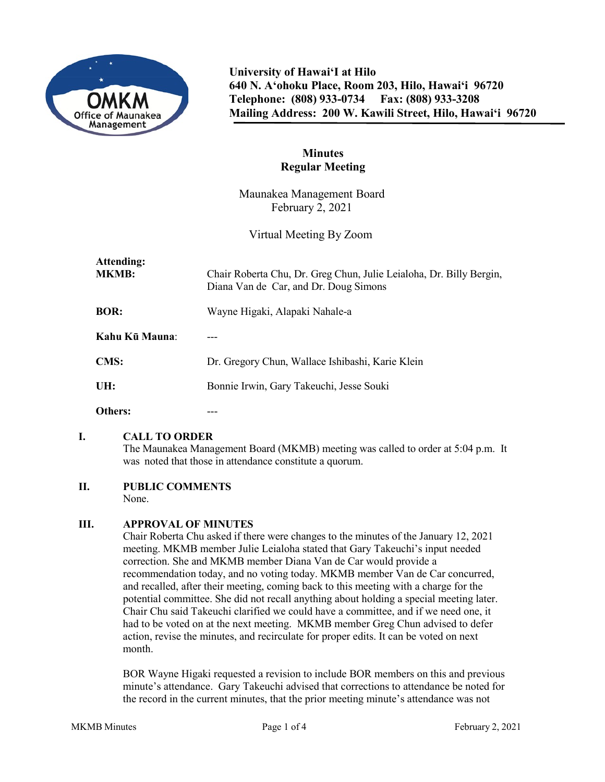

**University of Hawai'I at Hilo 640 N. A'ohoku Place, Room 203, Hilo, Hawai'i 96720 Telephone: (808) 933-0734 Fax: (808) 933-3208 Mailing Address: 200 W. Kawili Street, Hilo, Hawai'i 96720**

# **Minutes Regular Meeting**

Maunakea Management Board February 2, 2021

Virtual Meeting By Zoom

| Attending:<br><b>MKMB:</b> | Chair Roberta Chu, Dr. Greg Chun, Julie Leialoha, Dr. Billy Bergin,<br>Diana Van de Car, and Dr. Doug Simons |
|----------------------------|--------------------------------------------------------------------------------------------------------------|
| <b>BOR:</b>                | Wayne Higaki, Alapaki Nahale-a                                                                               |
| Kahu Kū Mauna:             |                                                                                                              |
| CMS:                       | Dr. Gregory Chun, Wallace Ishibashi, Karie Klein                                                             |
| UH:                        | Bonnie Irwin, Gary Takeuchi, Jesse Souki                                                                     |
| Others:                    |                                                                                                              |

# **I. CALL TO ORDER**

The Maunakea Management Board (MKMB) meeting was called to order at 5:04 p.m. It was noted that those in attendance constitute a quorum.

#### **II. PUBLIC COMMENTS**

None.

#### **III. APPROVAL OF MINUTES**

Chair Roberta Chu asked if there were changes to the minutes of the January 12, 2021 meeting. MKMB member Julie Leialoha stated that Gary Takeuchi's input needed correction. She and MKMB member Diana Van de Car would provide a recommendation today, and no voting today. MKMB member Van de Car concurred, and recalled, after their meeting, coming back to this meeting with a charge for the potential committee. She did not recall anything about holding a special meeting later. Chair Chu said Takeuchi clarified we could have a committee, and if we need one, it had to be voted on at the next meeting. MKMB member Greg Chun advised to defer action, revise the minutes, and recirculate for proper edits. It can be voted on next month.

BOR Wayne Higaki requested a revision to include BOR members on this and previous minute's attendance. Gary Takeuchi advised that corrections to attendance be noted for the record in the current minutes, that the prior meeting minute's attendance was not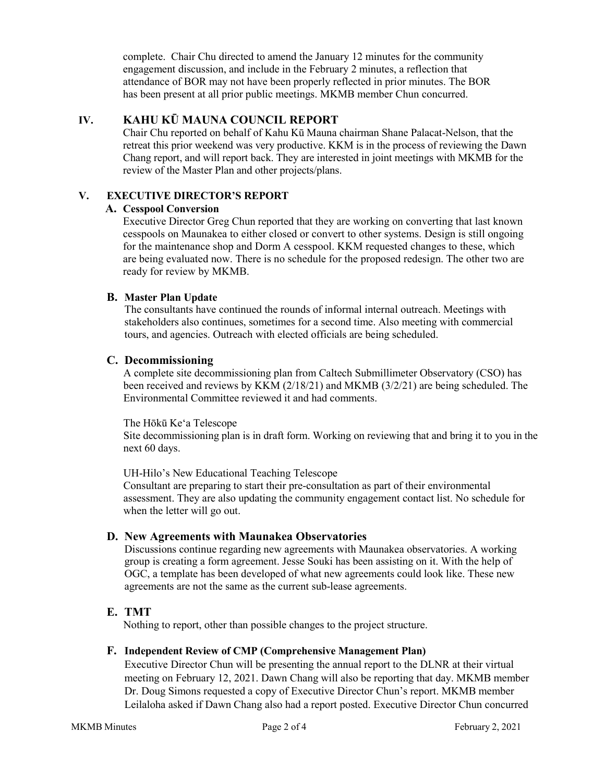complete. Chair Chu directed to amend the January 12 minutes for the community engagement discussion, and include in the February 2 minutes, a reflection that attendance of BOR may not have been properly reflected in prior minutes. The BOR has been present at all prior public meetings. MKMB member Chun concurred.

# **IV. KAHU KŪ MAUNA COUNCIL REPORT**

Chair Chu reported on behalf of Kahu Kū Mauna chairman Shane Palacat-Nelson, that the retreat this prior weekend was very productive. KKM is in the process of reviewing the Dawn Chang report, and will report back. They are interested in joint meetings with MKMB for the review of the Master Plan and other projects/plans.

# **V. EXECUTIVE DIRECTOR'S REPORT**

#### **A. Cesspool Conversion**

Executive Director Greg Chun reported that they are working on converting that last known cesspools on Maunakea to either closed or convert to other systems. Design is still ongoing for the maintenance shop and Dorm A cesspool. KKM requested changes to these, which are being evaluated now. There is no schedule for the proposed redesign. The other two are ready for review by MKMB.

### **B. Master Plan Update**

The consultants have continued the rounds of informal internal outreach. Meetings with stakeholders also continues, sometimes for a second time. Also meeting with commercial tours, and agencies. Outreach with elected officials are being scheduled.

### **C. Decommissioning**

A complete site decommissioning plan from Caltech Submillimeter Observatory (CSO) has been received and reviews by KKM (2/18/21) and MKMB (3/2/21) are being scheduled. The Environmental Committee reviewed it and had comments.

#### The Hōkū Keʻa Telescope

Site decommissioning plan is in draft form. Working on reviewing that and bring it to you in the next 60 days.

UH-Hilo's New Educational Teaching Telescope

Consultant are preparing to start their pre-consultation as part of their environmental assessment. They are also updating the community engagement contact list. No schedule for when the letter will go out.

# **D. New Agreements with Maunakea Observatories**

Discussions continue regarding new agreements with Maunakea observatories. A working group is creating a form agreement. Jesse Souki has been assisting on it. With the help of OGC, a template has been developed of what new agreements could look like. These new agreements are not the same as the current sub-lease agreements.

# **E. TMT**

Nothing to report, other than possible changes to the project structure.

#### **F. Independent Review of CMP (Comprehensive Management Plan)**

Executive Director Chun will be presenting the annual report to the DLNR at their virtual meeting on February 12, 2021. Dawn Chang will also be reporting that day. MKMB member Dr. Doug Simons requested a copy of Executive Director Chun's report. MKMB member Leilaloha asked if Dawn Chang also had a report posted. Executive Director Chun concurred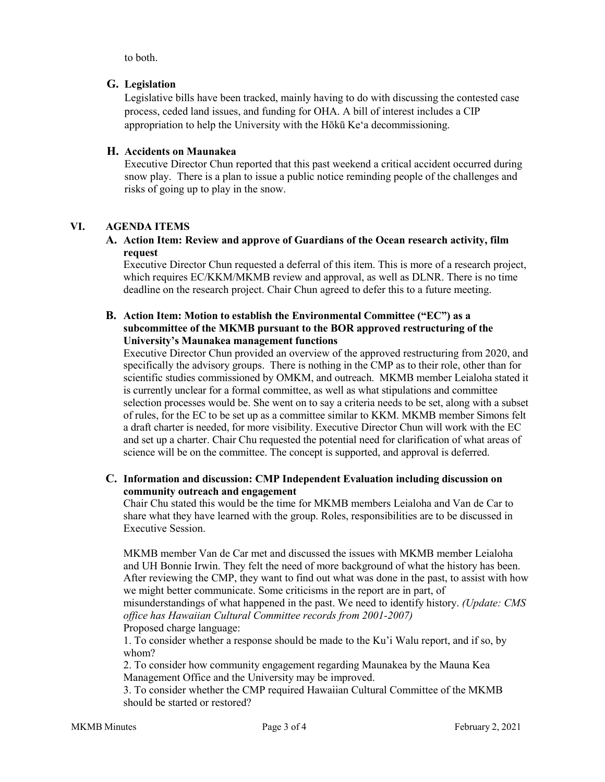to both.

### **G. Legislation**

Legislative bills have been tracked, mainly having to do with discussing the contested case process, ceded land issues, and funding for OHA. A bill of interest includes a CIP appropriation to help the University with the Hōkū Keʻa decommissioning.

### **H. Accidents on Maunakea**

Executive Director Chun reported that this past weekend a critical accident occurred during snow play. There is a plan to issue a public notice reminding people of the challenges and risks of going up to play in the snow.

# **VI. AGENDA ITEMS**

#### **A. Action Item: Review and approve of Guardians of the Ocean research activity, film request**

Executive Director Chun requested a deferral of this item. This is more of a research project, which requires EC/KKM/MKMB review and approval, as well as DLNR. There is no time deadline on the research project. Chair Chun agreed to defer this to a future meeting.

#### **B. Action Item: Motion to establish the Environmental Committee ("EC") as a subcommittee of the MKMB pursuant to the BOR approved restructuring of the University's Maunakea management functions**

Executive Director Chun provided an overview of the approved restructuring from 2020, and specifically the advisory groups. There is nothing in the CMP as to their role, other than for scientific studies commissioned by OMKM, and outreach. MKMB member Leialoha stated it is currently unclear for a formal committee, as well as what stipulations and committee selection processes would be. She went on to say a criteria needs to be set, along with a subset of rules, for the EC to be set up as a committee similar to KKM. MKMB member Simons felt a draft charter is needed, for more visibility. Executive Director Chun will work with the EC and set up a charter. Chair Chu requested the potential need for clarification of what areas of science will be on the committee. The concept is supported, and approval is deferred.

#### **C. Information and discussion: CMP Independent Evaluation including discussion on community outreach and engagement**

Chair Chu stated this would be the time for MKMB members Leialoha and Van de Car to share what they have learned with the group. Roles, responsibilities are to be discussed in Executive Session.

MKMB member Van de Car met and discussed the issues with MKMB member Leialoha and UH Bonnie Irwin. They felt the need of more background of what the history has been. After reviewing the CMP, they want to find out what was done in the past, to assist with how we might better communicate. Some criticisms in the report are in part, of misunderstandings of what happened in the past. We need to identify history. *(Update: CMS office has Hawaiian Cultural Committee records from 2001-2007)* Proposed charge language:

1. To consider whether a response should be made to the Ku'i Walu report, and if so, by whom?

2. To consider how community engagement regarding Maunakea by the Mauna Kea Management Office and the University may be improved.

3. To consider whether the CMP required Hawaiian Cultural Committee of the MKMB should be started or restored?